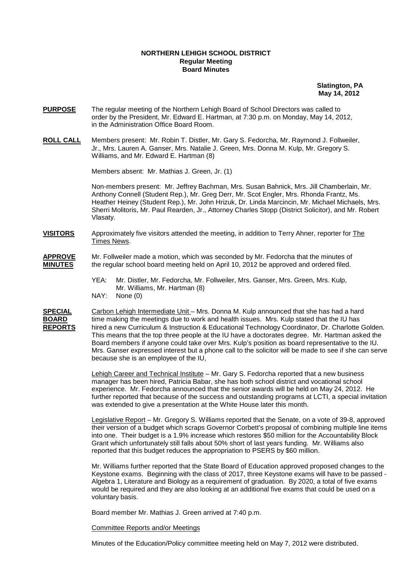## **NORTHERN LEHIGH SCHOOL DISTRICT Regular Meeting Board Minutes**

 **Slatington, PA May 14, 2012** 

- **PURPOSE** The regular meeting of the Northern Lehigh Board of School Directors was called to order by the President, Mr. Edward E. Hartman, at 7:30 p.m. on Monday, May 14, 2012, in the Administration Office Board Room.
- **ROLL CALL** Members present: Mr. Robin T. Distler, Mr. Gary S. Fedorcha, Mr. Raymond J. Follweiler, Jr., Mrs. Lauren A. Ganser, Mrs. Natalie J. Green, Mrs. Donna M. Kulp, Mr. Gregory S. Williams, and Mr. Edward E. Hartman (8)

Members absent: Mr. Mathias J. Green, Jr. (1)

Non-members present: Mr. Jeffrey Bachman, Mrs. Susan Bahnick, Mrs. Jill Chamberlain, Mr. Anthony Connell (Student Rep.), Mr. Greg Derr, Mr. Scot Engler, Mrs. Rhonda Frantz, Ms. Heather Heiney (Student Rep.), Mr. John Hrizuk, Dr. Linda Marcincin, Mr. Michael Michaels, Mrs. Sherri Molitoris, Mr. Paul Rearden, Jr., Attorney Charles Stopp (District Solicitor), and Mr. Robert Vlasaty.

**VISITORS** Approximately five visitors attended the meeting, in addition to Terry Ahner, reporter for The Times News.

# **APPROVE** Mr. Follweiler made a motion, which was seconded by Mr. Fedorcha that the minutes of **MINUTES** the regular school board meeting held on April 10, 2012 be approved and ordered filed.

 YEA: Mr. Distler, Mr. Fedorcha, Mr. Follweiler, Mrs. Ganser, Mrs. Green, Mrs. Kulp, Mr. Williams, Mr. Hartman (8)<br>NAY: None (0) None (0)

**SPECIAL** Carbon Lehigh Intermediate Unit – Mrs. Donna M. Kulp announced that she has had a hard **BOARD** time making the meetings due to work and health issues. Mrs. Kulp stated that the IU has **REPORTS** hired a new Curriculum & Instruction & Educational Technology Coordinator, Dr. Charlotte Golden. This means that the top three people at the IU have a doctorates degree. Mr. Hartman asked the Board members if anyone could take over Mrs. Kulp's position as board representative to the IU. Mrs. Ganser expressed interest but a phone call to the solicitor will be made to see if she can serve because she is an employee of the IU,

> Lehigh Career and Technical Institute – Mr. Gary S. Fedorcha reported that a new business manager has been hired, Patricia Babar, she has both school district and vocational school experience. Mr. Fedorcha announced that the senior awards will be held on May 24, 2012. He further reported that because of the success and outstanding programs at LCTI, a special invitation was extended to give a presentation at the White House later this month.

> Legislative Report - Mr. Gregory S. Williams reported that the Senate, on a vote of 39-8, approved their version of a budget which scraps Governor Corbett's proposal of combining multiple line items into one. Their budget is a 1.9% increase which restores \$50 million for the Accountability Block Grant which unfortunately still falls about 50% short of last years funding. Mr. Williams also reported that this budget reduces the appropriation to PSERS by \$60 million.

> Mr. Williams further reported that the State Board of Education approved proposed changes to the Keystone exams. Beginning with the class of 2017, three Keystone exams will have to be passed - Algebra 1, Literature and Biology as a requirement of graduation. By 2020, a total of five exams would be required and they are also looking at an additional five exams that could be used on a voluntary basis.

Board member Mr. Mathias J. Green arrived at 7:40 p.m.

Committee Reports and/or Meetings

Minutes of the Education/Policy committee meeting held on May 7, 2012 were distributed.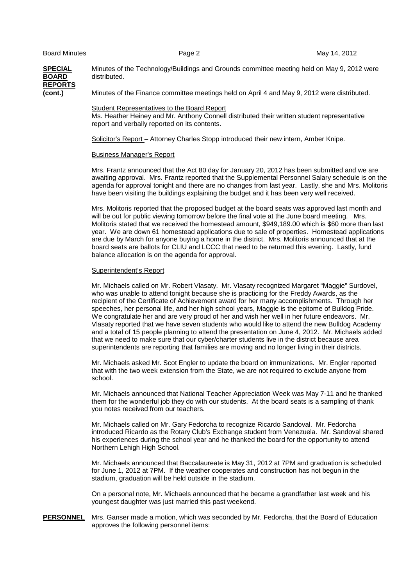**SPECIAL** Minutes of the Technology/Buildings and Grounds committee meeting held on May 9, 2012 were **BOARD** distributed. **REPORTS (cont.)** Minutes of the Finance committee meetings held on April 4 and May 9, 2012 were distributed.

 Student Representatives to the Board Report Ms. Heather Heiney and Mr. Anthony Connell distributed their written student representative report and verbally reported on its contents.

Solicitor's Report – Attorney Charles Stopp introduced their new intern, Amber Knipe.

#### Business Manager's Report

 Mrs. Frantz announced that the Act 80 day for January 20, 2012 has been submitted and we are awaiting approval. Mrs. Frantz reported that the Supplemental Personnel Salary schedule is on the agenda for approval tonight and there are no changes from last year. Lastly, she and Mrs. Molitoris have been visiting the buildings explaining the budget and it has been very well received.

 Mrs. Molitoris reported that the proposed budget at the board seats was approved last month and will be out for public viewing tomorrow before the final vote at the June board meeting. Mrs. Molitoris stated that we received the homestead amount, \$949,189.00 which is \$60 more than last year. We are down 61 homestead applications due to sale of properties. Homestead applications are due by March for anyone buying a home in the district. Mrs. Molitoris announced that at the board seats are ballots for CLIU and LCCC that need to be returned this evening. Lastly, fund balance allocation is on the agenda for approval.

#### Superintendent's Report

Mr. Michaels called on Mr. Robert Vlasaty. Mr. Vlasaty recognized Margaret "Maggie" Surdovel, who was unable to attend tonight because she is practicing for the Freddy Awards, as the recipient of the Certificate of Achievement award for her many accomplishments. Through her speeches, her personal life, and her high school years, Maggie is the epitome of Bulldog Pride. We congratulate her and are very proud of her and wish her well in her future endeavors. Mr. Vlasaty reported that we have seven students who would like to attend the new Bulldog Academy and a total of 15 people planning to attend the presentation on June 4, 2012. Mr. Michaels added that we need to make sure that our cyber/charter students live in the district because area superintendents are reporting that families are moving and no longer living in their districts.

Mr. Michaels asked Mr. Scot Engler to update the board on immunizations. Mr. Engler reported that with the two week extension from the State, we are not required to exclude anyone from school.

Mr. Michaels announced that National Teacher Appreciation Week was May 7-11 and he thanked them for the wonderful job they do with our students. At the board seats is a sampling of thank you notes received from our teachers.

Mr. Michaels called on Mr. Gary Fedorcha to recognize Ricardo Sandoval. Mr. Fedorcha introduced Ricardo as the Rotary Club's Exchange student from Venezuela. Mr. Sandoval shared his experiences during the school year and he thanked the board for the opportunity to attend Northern Lehigh High School.

 Mr. Michaels announced that Baccalaureate is May 31, 2012 at 7PM and graduation is scheduled for June 1, 2012 at 7PM. If the weather cooperates and construction has not begun in the stadium, graduation will be held outside in the stadium.

On a personal note, Mr. Michaels announced that he became a grandfather last week and his youngest daughter was just married this past weekend.

### **PERSONNEL** Mrs. Ganser made a motion, which was seconded by Mr. Fedorcha, that the Board of Education approves the following personnel items: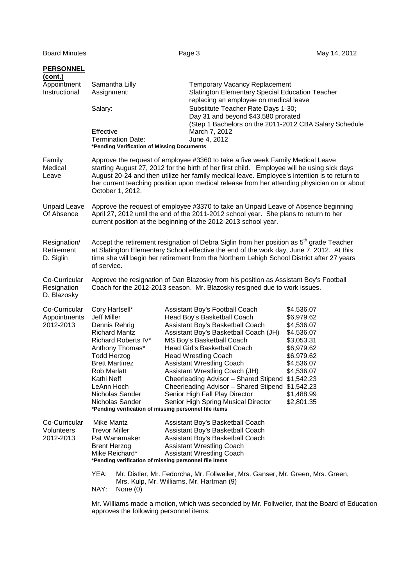Board Minutes Page 3 May 14, 2012 **PERSONNEL (cont.)** Appointment Samantha Lilly Temporary Vacancy Replacement Instructional Assignment: Slatington Elementary Special Education Teacher replacing an employee on medical leave Salary: Substitute Teacher Rate Days 1-30; Day 31 and beyond \$43,580 prorated (Step 1 Bachelors on the 2011-2012 CBA Salary Schedule Effective March 7, 2012 Termination Date: June 4, 2012 **\*Pending Verification of Missing Documents**  Family Approve the request of employee #3360 to take a five week Family Medical Leave Medical starting August 27, 2012 for the birth of her first child. Employee will be using sick days Leave August 20-24 and then utilize her family medical leave. Employee's intention is to return to her current teaching position upon medical release from her attending physician on or about October 1, 2012. Unpaid Leave Approve the request of employee #3370 to take an Unpaid Leave of Absence beginning Of Absence April 27, 2012 until the end of the 2011-2012 school year. She plans to return to her current position at the beginning of the 2012-2013 school year. Resignation/ Accept the retirement resignation of Debra Siglin from her position as 5<sup>th</sup> grade Teacher<br>Retirement at Slatington Elementary School effective the end of the work day. June 7. 2012. At this at Slatington Elementary School effective the end of the work day, June 7, 2012. At this D. Siglin time she will begin her retirement from the Northern Lehigh School District after 27 years of service. Co-Curricular Approve the resignation of Dan Blazosky from his position as Assistant Boy's Football<br>Resignation Coach for the 2012-2013 season. Mr. Blazosky resigned due to work issues. Coach for the 2012-2013 season. Mr. Blazosky resigned due to work issues. D. Blazosky Co-Curricular Cory Hartsell\* Assistant Boy's Football Coach \$4.536.07 Appointments Jeff Miller Head Boy's Basketball Coach \$6,979.62 2012-2013 Dennis Rehrig Assistant Boy's Basketball Coach \$4,536.07 Richard Mantz Assistant Boy's Basketball Coach (JH) \$4,536.07 Richard Roberts IV\* MS Boy's Basketball Coach \$3,053.31 Anthony Thomas\* Head Girl's Basketball Coach \$6,979.62 Todd Herzog Head Wrestling Coach \$6,979.62 Brett Martinez Assistant Wrestling Coach \$4,536.07 Rob Marlatt **Assistant Wrestling Coach (JH)** \$4,536.07 Kathi Neff **Cheerleading Advisor – Shared Stipend \$1,542.23**<br>LeAnn Hoch **Cheerleading Advisor – Shared Stipend \$1,542.23** Cheerleading Advisor – Shared Stipend \$1,542.23 Nicholas Sander Senior High Fall Play Director \$1,488.99 Nicholas Sander Senior High Spring Musical Director \$2,801.35 **\*Pending verification of missing personnel file items**  Co-Curricular Mike Mantz **Assistant Boy's Basketball Coach** Volunteers Trevor Miller Assistant Boy's Basketball Coach<br>
2012-2013 Pat Wanamaker Assistant Boy's Basketball Coach Pat Wanamaker Assistant Boy's Basketball Coach<br>Brent Herzog **Assistant Wrestling Coach** Brent Herzog **Assistant Wrestling Coach**<br>Mike Reichard\* Assistant Wrestling Coach Assistant Wrestling Coach **\*Pending verification of missing personnel file items**  YEA: Mr. Distler, Mr. Fedorcha, Mr. Follweiler, Mrs. Ganser, Mr. Green, Mrs. Green, Mrs. Kulp, Mr. Williams, Mr. Hartman (9) NAY: None (0) Mr. Williams made a motion, which was seconded by Mr. Follweiler, that the Board of Education

approves the following personnel items: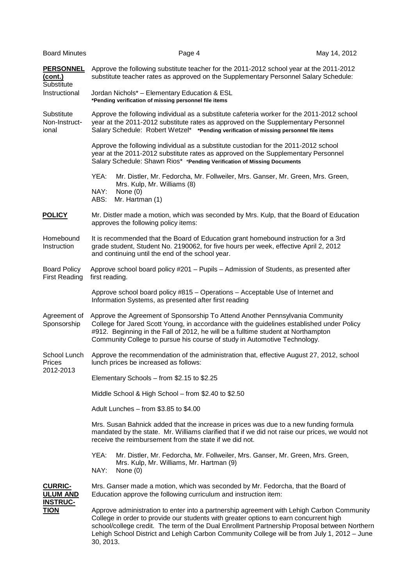| <b>Board Minutes</b>                                 | Page 4                                                                                                                                                                                                                                                                                                                                                                                         | May 14, 2012 |  |  |
|------------------------------------------------------|------------------------------------------------------------------------------------------------------------------------------------------------------------------------------------------------------------------------------------------------------------------------------------------------------------------------------------------------------------------------------------------------|--------------|--|--|
| <b>PERSONNEL</b><br>(cont.)<br>Substitute            | Approve the following substitute teacher for the 2011-2012 school year at the 2011-2012<br>substitute teacher rates as approved on the Supplementary Personnel Salary Schedule:                                                                                                                                                                                                                |              |  |  |
| Instructional                                        | Jordan Nichols* - Elementary Education & ESL<br>*Pending verification of missing personnel file items                                                                                                                                                                                                                                                                                          |              |  |  |
| Substitute<br>Non-Instruct-<br>ional                 | Approve the following individual as a substitute cafeteria worker for the 2011-2012 school<br>year at the 2011-2012 substitute rates as approved on the Supplementary Personnel<br>Salary Schedule: Robert Wetzel* *Pending verification of missing personnel file items                                                                                                                       |              |  |  |
|                                                      | Approve the following individual as a substitute custodian for the 2011-2012 school<br>year at the 2011-2012 substitute rates as approved on the Supplementary Personnel<br>Salary Schedule: Shawn Rios* *Pending Verification of Missing Documents                                                                                                                                            |              |  |  |
|                                                      | YEA:<br>Mr. Distler, Mr. Fedorcha, Mr. Follweiler, Mrs. Ganser, Mr. Green, Mrs. Green,<br>Mrs. Kulp, Mr. Williams (8)<br>NAY:<br>None $(0)$<br>ABS:<br>Mr. Hartman (1)                                                                                                                                                                                                                         |              |  |  |
| <b>POLICY</b>                                        | Mr. Distler made a motion, which was seconded by Mrs. Kulp, that the Board of Education<br>approves the following policy items:                                                                                                                                                                                                                                                                |              |  |  |
| Homebound<br>Instruction                             | It is recommended that the Board of Education grant homebound instruction for a 3rd<br>grade student, Student No. 2190062, for five hours per week, effective April 2, 2012<br>and continuing until the end of the school year.                                                                                                                                                                |              |  |  |
| <b>Board Policy</b><br><b>First Reading</b>          | Approve school board policy #201 - Pupils - Admission of Students, as presented after<br>first reading.                                                                                                                                                                                                                                                                                        |              |  |  |
|                                                      | Approve school board policy #815 - Operations - Acceptable Use of Internet and<br>Information Systems, as presented after first reading                                                                                                                                                                                                                                                        |              |  |  |
| Agreement of<br>Sponsorship                          | Approve the Agreement of Sponsorship To Attend Another Pennsylvania Community<br>College for Jared Scott Young, in accordance with the guidelines established under Policy<br>#912. Beginning in the Fall of 2012, he will be a fulltime student at Northampton<br>Community College to pursue his course of study in Automotive Technology.                                                   |              |  |  |
| School Lunch<br>Prices<br>2012-2013                  | Approve the recommendation of the administration that, effective August 27, 2012, school<br>lunch prices be increased as follows:                                                                                                                                                                                                                                                              |              |  |  |
|                                                      | Elementary Schools - from \$2.15 to \$2.25                                                                                                                                                                                                                                                                                                                                                     |              |  |  |
|                                                      | Middle School & High School - from \$2.40 to \$2.50                                                                                                                                                                                                                                                                                                                                            |              |  |  |
|                                                      | Adult Lunches - from \$3.85 to \$4.00                                                                                                                                                                                                                                                                                                                                                          |              |  |  |
|                                                      | Mrs. Susan Bahnick added that the increase in prices was due to a new funding formula<br>mandated by the state. Mr. Williams clarified that if we did not raise our prices, we would not<br>receive the reimbursement from the state if we did not.                                                                                                                                            |              |  |  |
|                                                      | YEA:<br>Mr. Distler, Mr. Fedorcha, Mr. Follweiler, Mrs. Ganser, Mr. Green, Mrs. Green,<br>Mrs. Kulp, Mr. Williams, Mr. Hartman (9)<br>NAY:<br>None $(0)$                                                                                                                                                                                                                                       |              |  |  |
| <b>CURRIC-</b><br><b>ULUM AND</b><br><b>INSTRUC-</b> | Mrs. Ganser made a motion, which was seconded by Mr. Fedorcha, that the Board of<br>Education approve the following curriculum and instruction item:                                                                                                                                                                                                                                           |              |  |  |
| <b>TION</b>                                          | Approve administration to enter into a partnership agreement with Lehigh Carbon Community<br>College in order to provide our students with greater options to earn concurrent high<br>school/college credit. The term of the Dual Enrollment Partnership Proposal between Northern<br>Lehigh School District and Lehigh Carbon Community College will be from July 1, 2012 - June<br>30, 2013. |              |  |  |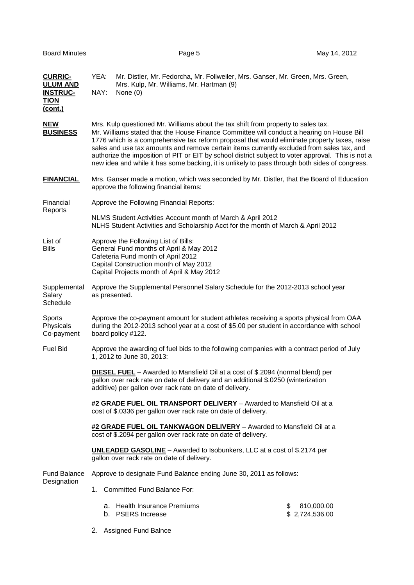| <b>CURRIC-</b><br><b>ULUM AND</b><br><b>INSTRUC-</b><br><b>TION</b><br>(cont.) | YEA:<br>Mr. Distler, Mr. Fedorcha, Mr. Follweiler, Mrs. Ganser, Mr. Green, Mrs. Green,<br>Mrs. Kulp, Mr. Williams, Mr. Hartman (9)<br>NAY:<br>None $(0)$                                                                                                                                                                                                                                                                                                                                                                                                                            |  |  |  |  |
|--------------------------------------------------------------------------------|-------------------------------------------------------------------------------------------------------------------------------------------------------------------------------------------------------------------------------------------------------------------------------------------------------------------------------------------------------------------------------------------------------------------------------------------------------------------------------------------------------------------------------------------------------------------------------------|--|--|--|--|
| <b>NEW</b><br><b>BUSINESS</b>                                                  | Mrs. Kulp questioned Mr. Williams about the tax shift from property to sales tax.<br>Mr. Williams stated that the House Finance Committee will conduct a hearing on House Bill<br>1776 which is a comprehensive tax reform proposal that would eliminate property taxes, raise<br>sales and use tax amounts and remove certain items currently excluded from sales tax, and<br>authorize the imposition of PIT or EIT by school district subject to voter approval. This is not a<br>new idea and while it has some backing, it is unlikely to pass through both sides of congress. |  |  |  |  |
| <b>FINANCIAL</b>                                                               | Mrs. Ganser made a motion, which was seconded by Mr. Distler, that the Board of Education<br>approve the following financial items:                                                                                                                                                                                                                                                                                                                                                                                                                                                 |  |  |  |  |
| Financial<br>Reports                                                           | Approve the Following Financial Reports:                                                                                                                                                                                                                                                                                                                                                                                                                                                                                                                                            |  |  |  |  |
|                                                                                | NLMS Student Activities Account month of March & April 2012<br>NLHS Student Activities and Scholarship Acct for the month of March & April 2012                                                                                                                                                                                                                                                                                                                                                                                                                                     |  |  |  |  |
| List of<br><b>Bills</b>                                                        | Approve the Following List of Bills:<br>General Fund months of April & May 2012<br>Cafeteria Fund month of April 2012<br>Capital Construction month of May 2012<br>Capital Projects month of April & May 2012                                                                                                                                                                                                                                                                                                                                                                       |  |  |  |  |
| Supplemental<br>Salary<br>Schedule                                             | Approve the Supplemental Personnel Salary Schedule for the 2012-2013 school year<br>as presented.                                                                                                                                                                                                                                                                                                                                                                                                                                                                                   |  |  |  |  |
| Sports<br>Physicals<br>Co-payment                                              | Approve the co-payment amount for student athletes receiving a sports physical from OAA<br>during the 2012-2013 school year at a cost of \$5.00 per student in accordance with school<br>board policy #122.                                                                                                                                                                                                                                                                                                                                                                         |  |  |  |  |
| <b>Fuel Bid</b>                                                                | Approve the awarding of fuel bids to the following companies with a contract period of July<br>1, 2012 to June 30, 2013:                                                                                                                                                                                                                                                                                                                                                                                                                                                            |  |  |  |  |
|                                                                                | <b>DIESEL FUEL</b> - Awarded to Mansfield Oil at a cost of \$.2094 (normal blend) per<br>gallon over rack rate on date of delivery and an additional \$.0250 (winterization<br>additive) per gallon over rack rate on date of delivery.                                                                                                                                                                                                                                                                                                                                             |  |  |  |  |
|                                                                                | #2 GRADE FUEL OIL TRANSPORT DELIVERY - Awarded to Mansfield Oil at a<br>cost of \$.0336 per gallon over rack rate on date of delivery.                                                                                                                                                                                                                                                                                                                                                                                                                                              |  |  |  |  |
|                                                                                | #2 GRADE FUEL OIL TANKWAGON DELIVERY - Awarded to Mansfield Oil at a<br>cost of \$.2094 per gallon over rack rate on date of delivery.                                                                                                                                                                                                                                                                                                                                                                                                                                              |  |  |  |  |
|                                                                                | <b>UNLEADED GASOLINE</b> - Awarded to Isobunkers, LLC at a cost of \$.2174 per<br>gallon over rack rate on date of delivery.                                                                                                                                                                                                                                                                                                                                                                                                                                                        |  |  |  |  |
| <b>Fund Balance</b><br>Designation                                             | Approve to designate Fund Balance ending June 30, 2011 as follows:                                                                                                                                                                                                                                                                                                                                                                                                                                                                                                                  |  |  |  |  |
|                                                                                | 1. Committed Fund Balance For:                                                                                                                                                                                                                                                                                                                                                                                                                                                                                                                                                      |  |  |  |  |
|                                                                                | a. Health Insurance Premiums<br>\$<br>810,000.00<br>b. PSERS Increase<br>\$2,724,536.00                                                                                                                                                                                                                                                                                                                                                                                                                                                                                             |  |  |  |  |
|                                                                                |                                                                                                                                                                                                                                                                                                                                                                                                                                                                                                                                                                                     |  |  |  |  |

2. Assigned Fund Balnce